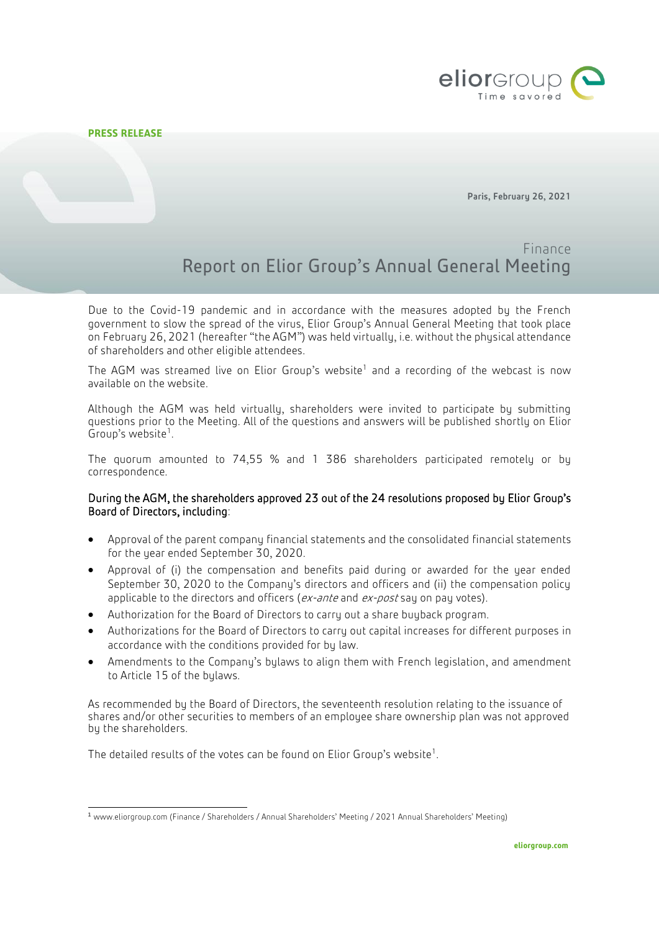

1

Paris, February 26, 2021

# Finance Report on Elior Group's Annual General Meeting

Due to the Covid-19 pandemic and in accordance with the measures adopted by the French government to slow the spread of the virus, Elior Group's Annual General Meeting that took place on February 26, 2021 (hereafter "the AGM") was held virtually, i.e. without the physical attendance of shareholders and other eligible attendees.

The AGM was streamed live on Elior Group's website<sup>1</sup> and a recording of the webcast is now available on the website.

Although the AGM was held virtually, shareholders were invited to participate by submitting questions prior to the Meeting. All of the questions and answers will be published shortly on Elior Group's website<sup>1</sup>.

The quorum amounted to 74,55 % and 1 386 shareholders participated remotely or by correspondence.

# During the AGM, the shareholders approved 23 out of the 24 resolutions proposed by Elior Group's Board of Directors, including:

- Approval of the parent company financial statements and the consolidated financial statements for the year ended September 30, 2020.
- Approval of (i) the compensation and benefits paid during or awarded for the year ended September 30, 2020 to the Company's directors and officers and (ii) the compensation policy applicable to the directors and officers (ex-ante and ex-post say on pay votes).
- Authorization for the Board of Directors to carry out a share buyback program.
- Authorizations for the Board of Directors to carry out capital increases for different purposes in accordance with the conditions provided for by law.
- Amendments to the Company's bylaws to align them with French legislation, and amendment to Article 15 of the bylaws.

As recommended by the Board of Directors, the seventeenth resolution relating to the issuance of shares and/or other securities to members of an employee share ownership plan was not approved by the shareholders.

The detailed results of the votes can be found on Elior Group's website<sup>1</sup>.

<sup>1</sup> [www.eliorgroup.com](http://www.eliorgroup.com/) (Finance / Shareholders / Annual Shareholders' Meeting / 2021 Annual Shareholders' Meeting)